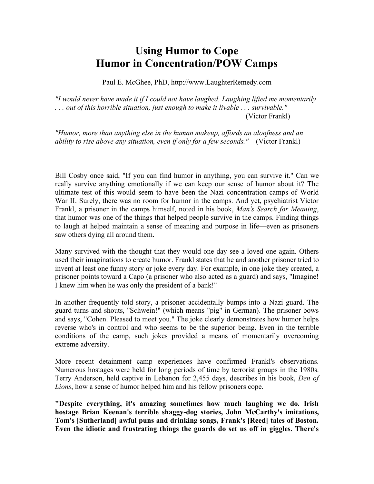## **Using Humor to Cope Humor in Concentration/POW Camps**

Paul E. McGhee, PhD, http://www.LaughterRemedy.com

*"I would never have made it if I could not have laughed. Laughing lifted me momentarily . . . out of this horrible situation, just enough to make it livable . . . survivable."* (Victor Frankl)

*"Humor, more than anything else in the human makeup, affords an aloofness and an ability to rise above any situation, even if only for a few seconds."* (Victor Frankl)

Bill Cosby once said, "If you can find humor in anything, you can survive it." Can we really survive anything emotionally if we can keep our sense of humor about it? The ultimate test of this would seem to have been the Nazi concentration camps of World War II. Surely, there was no room for humor in the camps. And yet, psychiatrist Victor Frankl, a prisoner in the camps himself, noted in his book, *Man's Search for Meaning*, that humor was one of the things that helped people survive in the camps. Finding things to laugh at helped maintain a sense of meaning and purpose in life—even as prisoners saw others dying all around them.

Many survived with the thought that they would one day see a loved one again. Others used their imaginations to create humor. Frankl states that he and another prisoner tried to invent at least one funny story or joke every day. For example, in one joke they created, a prisoner points toward a Capo (a prisoner who also acted as a guard) and says, "Imagine! I knew him when he was only the president of a bank!"

In another frequently told story, a prisoner accidentally bumps into a Nazi guard. The guard turns and shouts, "Schwein!" (which means "pig" in German). The prisoner bows and says, "Cohen. Pleased to meet you." The joke clearly demonstrates how humor helps reverse who's in control and who seems to be the superior being. Even in the terrible conditions of the camp, such jokes provided a means of momentarily overcoming extreme adversity.

More recent detainment camp experiences have confirmed Frankl's observations. Numerous hostages were held for long periods of time by terrorist groups in the 1980s. Terry Anderson, held captive in Lebanon for 2,455 days, describes in his book, *Den of Lions*, how a sense of humor helped him and his fellow prisoners cope.

**"Despite everything, it's amazing sometimes how much laughing we do. Irish hostage Brian Keenan's terrible shaggy-dog stories, John McCarthy's imitations, Tom's [Sutherland] awful puns and drinking songs, Frank's [Reed] tales of Boston. Even the idiotic and frustrating things the guards do set us off in giggles. There's**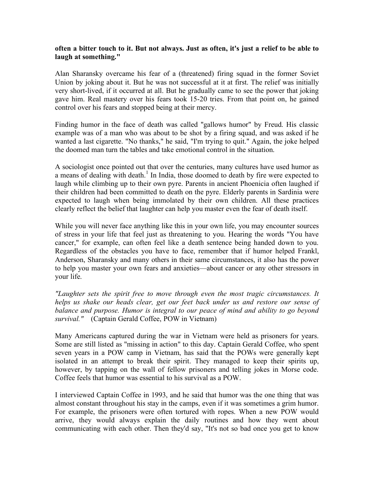## **often a bitter touch to it. But not always. Just as often, it's just a relief to be able to laugh at something."**

Alan Sharansky overcame his fear of a (threatened) firing squad in the former Soviet Union by joking about it. But he was not successful at it at first. The relief was initially very short-lived, if it occurred at all. But he gradually came to see the power that joking gave him. Real mastery over his fears took 15-20 tries. From that point on, he gained control over his fears and stopped being at their mercy.

Finding humor in the face of death was called "gallows humor" by Freud. His classic example was of a man who was about to be shot by a firing squad, and was asked if he wanted a last cigarette. "No thanks," he said, "I'm trying to quit." Again, the joke helped the doomed man turn the tables and take emotional control in the situation.

A sociologist once pointed out that over the centuries, many cultures have used humor as a means of dealing with death.<sup>1</sup> In India, those doomed to death by fire were expected to laugh while climbing up to their own pyre. Parents in ancient Phoenicia often laughed if their children had been committed to death on the pyre. Elderly parents in Sardinia were expected to laugh when being immolated by their own children. All these practices clearly reflect the belief that laughter can help you master even the fear of death itself.

While you will never face anything like this in your own life, you may encounter sources of stress in your life that feel just as threatening to you. Hearing the words "You have cancer," for example, can often feel like a death sentence being handed down to you. Regardless of the obstacles you have to face, remember that if humor helped Frankl, Anderson, Sharansky and many others in their same circumstances, it also has the power to help you master your own fears and anxieties—about cancer or any other stressors in your life.

*"Laughter sets the spirit free to move through even the most tragic circumstances. It helps us shake our heads clear, get our feet back under us and restore our sense of balance and purpose. Humor is integral to our peace of mind and ability to go beyond survival."* (Captain Gerald Coffee, POW in Vietnam)

Many Americans captured during the war in Vietnam were held as prisoners for years. Some are still listed as "missing in action" to this day. Captain Gerald Coffee, who spent seven years in a POW camp in Vietnam, has said that the POWs were generally kept isolated in an attempt to break their spirit. They managed to keep their spirits up, however, by tapping on the wall of fellow prisoners and telling jokes in Morse code. Coffee feels that humor was essential to his survival as a POW.

I interviewed Captain Coffee in 1993, and he said that humor was the one thing that was almost constant throughout his stay in the camps, even if it was sometimes a grim humor. For example, the prisoners were often tortured with ropes. When a new POW would arrive, they would always explain the daily routines and how they went about communicating with each other. Then they'd say, "It's not so bad once you get to know